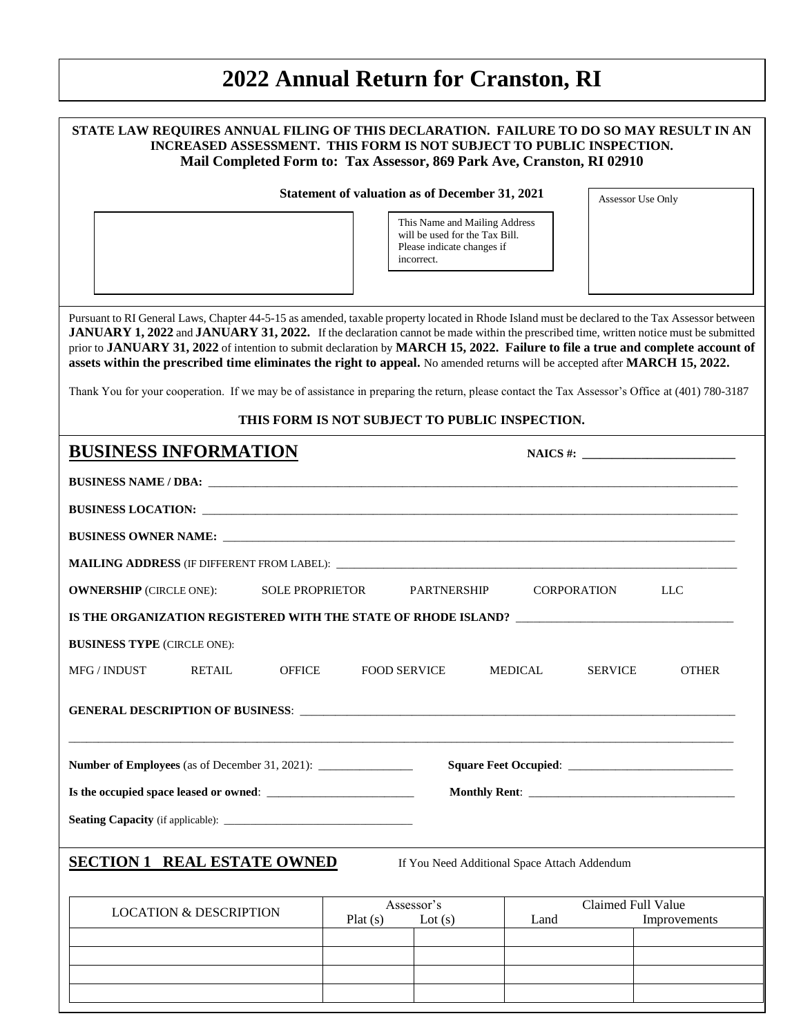# **2022 Annual Return for Cranston, RI**

 $\overline{a}$ 

| STATE LAW REQUIRES ANNUAL FILING OF THIS DECLARATION. FAILURE TO DO SO MAY RESULT IN AN<br>INCREASED ASSESSMENT. THIS FORM IS NOT SUBJECT TO PUBLIC INSPECTION.<br>Mail Completed Form to: Tax Assessor, 869 Park Ave, Cranston, RI 02910                                                                                                                                                                                                                                                                                                                                                                                                                                                                 |         |                                                                                                             |                                                |                   |  |
|-----------------------------------------------------------------------------------------------------------------------------------------------------------------------------------------------------------------------------------------------------------------------------------------------------------------------------------------------------------------------------------------------------------------------------------------------------------------------------------------------------------------------------------------------------------------------------------------------------------------------------------------------------------------------------------------------------------|---------|-------------------------------------------------------------------------------------------------------------|------------------------------------------------|-------------------|--|
|                                                                                                                                                                                                                                                                                                                                                                                                                                                                                                                                                                                                                                                                                                           |         | Statement of valuation as of December 31, 2021                                                              |                                                | Assessor Use Only |  |
|                                                                                                                                                                                                                                                                                                                                                                                                                                                                                                                                                                                                                                                                                                           |         | This Name and Mailing Address<br>will be used for the Tax Bill.<br>Please indicate changes if<br>incorrect. |                                                |                   |  |
| Pursuant to RI General Laws, Chapter 44-5-15 as amended, taxable property located in Rhode Island must be declared to the Tax Assessor between<br>JANUARY 1, 2022 and JANUARY 31, 2022. If the declaration cannot be made within the prescribed time, written notice must be submitted<br>prior to JANUARY 31, 2022 of intention to submit declaration by MARCH 15, 2022. Failure to file a true and complete account of<br>assets within the prescribed time eliminates the right to appeal. No amended returns will be accepted after MARCH 15, 2022.<br>Thank You for your cooperation. If we may be of assistance in preparing the return, please contact the Tax Assessor's Office at (401) 780-3187 |         |                                                                                                             | THIS FORM IS NOT SUBJECT TO PUBLIC INSPECTION. |                   |  |
| <b>BUSINESS INFORMATION</b>                                                                                                                                                                                                                                                                                                                                                                                                                                                                                                                                                                                                                                                                               |         |                                                                                                             |                                                | $NAICS$ #:        |  |
|                                                                                                                                                                                                                                                                                                                                                                                                                                                                                                                                                                                                                                                                                                           |         |                                                                                                             |                                                |                   |  |
|                                                                                                                                                                                                                                                                                                                                                                                                                                                                                                                                                                                                                                                                                                           |         |                                                                                                             |                                                |                   |  |
|                                                                                                                                                                                                                                                                                                                                                                                                                                                                                                                                                                                                                                                                                                           |         |                                                                                                             |                                                |                   |  |
|                                                                                                                                                                                                                                                                                                                                                                                                                                                                                                                                                                                                                                                                                                           |         |                                                                                                             |                                                |                   |  |
| <b>OWNERSHIP</b> (CIRCLE ONE):<br><b>SOLE PROPRIETOR</b>                                                                                                                                                                                                                                                                                                                                                                                                                                                                                                                                                                                                                                                  |         | <b>PARTNERSHIP</b>                                                                                          | <b>CORPORATION</b>                             | LLC               |  |
| IS THE ORGANIZATION REGISTERED WITH THE STATE OF RHODE ISLAND? __________________                                                                                                                                                                                                                                                                                                                                                                                                                                                                                                                                                                                                                         |         |                                                                                                             |                                                |                   |  |
| <b>BUSINESS TYPE (CIRCLE ONE):</b>                                                                                                                                                                                                                                                                                                                                                                                                                                                                                                                                                                                                                                                                        |         |                                                                                                             |                                                |                   |  |
| <b>MFG / INDUST</b><br><b>RETAIL</b><br><b>OFFICE</b><br><b>FOOD SERVICE</b><br><b>MEDICAL</b><br><b>SERVICE</b><br><b>OTHER</b>                                                                                                                                                                                                                                                                                                                                                                                                                                                                                                                                                                          |         |                                                                                                             |                                                |                   |  |
| <b>GENERAL DESCRIPTION OF BUSINESS:</b>                                                                                                                                                                                                                                                                                                                                                                                                                                                                                                                                                                                                                                                                   |         |                                                                                                             |                                                |                   |  |
|                                                                                                                                                                                                                                                                                                                                                                                                                                                                                                                                                                                                                                                                                                           |         |                                                                                                             |                                                |                   |  |
|                                                                                                                                                                                                                                                                                                                                                                                                                                                                                                                                                                                                                                                                                                           |         |                                                                                                             |                                                |                   |  |
|                                                                                                                                                                                                                                                                                                                                                                                                                                                                                                                                                                                                                                                                                                           |         |                                                                                                             |                                                |                   |  |
|                                                                                                                                                                                                                                                                                                                                                                                                                                                                                                                                                                                                                                                                                                           |         |                                                                                                             |                                                |                   |  |
| <b>SECTION 1</b><br><b>REAL ESTATE OWNED</b>                                                                                                                                                                                                                                                                                                                                                                                                                                                                                                                                                                                                                                                              |         |                                                                                                             | If You Need Additional Space Attach Addendum   |                   |  |
| <b>LOCATION &amp; DESCRIPTION</b>                                                                                                                                                                                                                                                                                                                                                                                                                                                                                                                                                                                                                                                                         |         | Assessor's<br>Claimed Full Value                                                                            |                                                |                   |  |
|                                                                                                                                                                                                                                                                                                                                                                                                                                                                                                                                                                                                                                                                                                           | Plat(s) | Lot $(s)$                                                                                                   | Land                                           | Improvements      |  |
|                                                                                                                                                                                                                                                                                                                                                                                                                                                                                                                                                                                                                                                                                                           |         |                                                                                                             |                                                |                   |  |
|                                                                                                                                                                                                                                                                                                                                                                                                                                                                                                                                                                                                                                                                                                           |         |                                                                                                             |                                                |                   |  |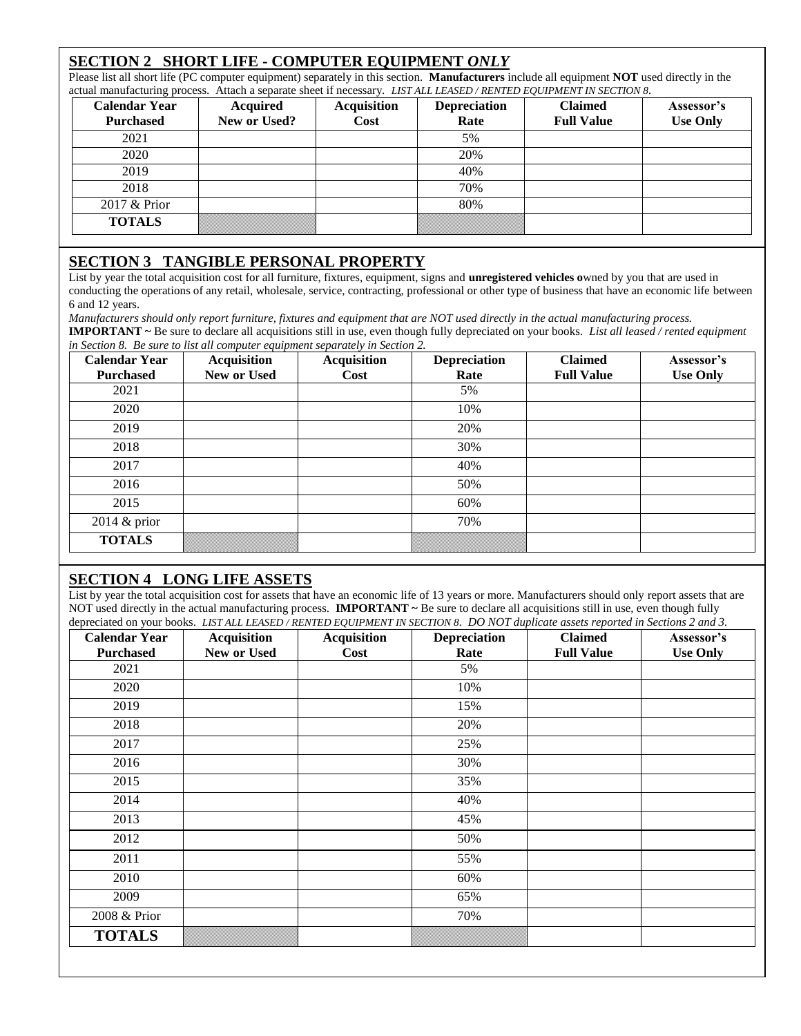## **SECTION 2 SHORT LIFE - COMPUTER EQUIPMENT** *ONLY*

Please list all short life (PC computer equipment) separately in this section. **Manufacturers** include all equipment **NOT** used directly in the actual manufacturing process. Attach a separate sheet if necessary. *LIST ALL LEASED / RENTED EQUIPMENT IN SECTION 8.*

| <b>Calendar Year</b><br><b>Purchased</b> | <b>Acquired</b><br>New or Used? | <b>Acquisition</b><br>Cost | <b>Depreciation</b><br>Rate | <b>Claimed</b><br><b>Full Value</b> | Assessor's<br><b>Use Only</b> |
|------------------------------------------|---------------------------------|----------------------------|-----------------------------|-------------------------------------|-------------------------------|
| 2021                                     |                                 |                            | 5%                          |                                     |                               |
| 2020                                     |                                 |                            | 20%                         |                                     |                               |
| 2019                                     |                                 |                            | 40%                         |                                     |                               |
| 2018                                     |                                 |                            | 70%                         |                                     |                               |
| 2017 & Prior                             |                                 |                            | 80%                         |                                     |                               |
| <b>TOTALS</b>                            |                                 |                            |                             |                                     |                               |

## **SECTION 3 TANGIBLE PERSONAL PROPERTY**

List by year the total acquisition cost for all furniture, fixtures, equipment, signs and **unregistered vehicles o**wned by you that are used in conducting the operations of any retail, wholesale, service, contracting, professional or other type of business that have an economic life between 6 and 12 years.

*Manufacturers should only report furniture, fixtures and equipment that are NOT used directly in the actual manufacturing process.*

**IMPORTANT ~** Be sure to declare all acquisitions still in use, even though fully depreciated on your books. *List all leased / rented equipment in Section 8. Be sure to list all computer equipment separately in Section 2.*

| <b>Calendar Year</b> | $\sim$ $\sim$<br>Acquisition | <b>Acquisition</b> | <b>Depreciation</b> | <b>Claimed</b>    | Assessor's      |
|----------------------|------------------------------|--------------------|---------------------|-------------------|-----------------|
| <b>Purchased</b>     | New or Used                  | Cost               | Rate                | <b>Full Value</b> | <b>Use Only</b> |
| 2021                 |                              |                    | 5%                  |                   |                 |
| 2020                 |                              |                    | 10%                 |                   |                 |
| 2019                 |                              |                    | 20%                 |                   |                 |
| 2018                 |                              |                    | 30%                 |                   |                 |
| 2017                 |                              |                    | 40%                 |                   |                 |
| 2016                 |                              |                    | 50%                 |                   |                 |
| 2015                 |                              |                    | 60%                 |                   |                 |
| 2014 & prior         |                              |                    | 70%                 |                   |                 |
| <b>TOTALS</b>        |                              |                    |                     |                   |                 |

## **SECTION 4 LONG LIFE ASSETS**

List by year the total acquisition cost for assets that have an economic life of 13 years or more. Manufacturers should only report assets that are NOT used directly in the actual manufacturing process. **IMPORTANT ~** Be sure to declare all acquisitions still in use, even though fully depreciated on your books. *LIST ALL LEASED / RENTED EQUIPMENT IN SECTION 8. DO NOT duplicate assets reported in Sections 2 and 3.*

| <b>Calendar Year</b> | <b>Acquisition</b> | <b>Acquisition</b> | <b>Depreciation</b> | <b>Claimed</b>    | Assessor's      |
|----------------------|--------------------|--------------------|---------------------|-------------------|-----------------|
| <b>Purchased</b>     | New or Used        | Cost               | Rate                | <b>Full Value</b> | <b>Use Only</b> |
| 2021                 |                    |                    | 5%                  |                   |                 |
| 2020                 |                    |                    | 10%                 |                   |                 |
| 2019                 |                    |                    | 15%                 |                   |                 |
| 2018                 |                    |                    | 20%                 |                   |                 |
| 2017                 |                    |                    | 25%                 |                   |                 |
| 2016                 |                    |                    | 30%                 |                   |                 |
| 2015                 |                    |                    | 35%                 |                   |                 |
| 2014                 |                    |                    | 40%                 |                   |                 |
| 2013                 |                    |                    | 45%                 |                   |                 |
| 2012                 |                    |                    | 50%                 |                   |                 |
| 2011                 |                    |                    | 55%                 |                   |                 |
| 2010                 |                    |                    | 60%                 |                   |                 |
| 2009                 |                    |                    | 65%                 |                   |                 |
| 2008 & Prior         |                    |                    | 70%                 |                   |                 |
| <b>TOTALS</b>        |                    |                    |                     |                   |                 |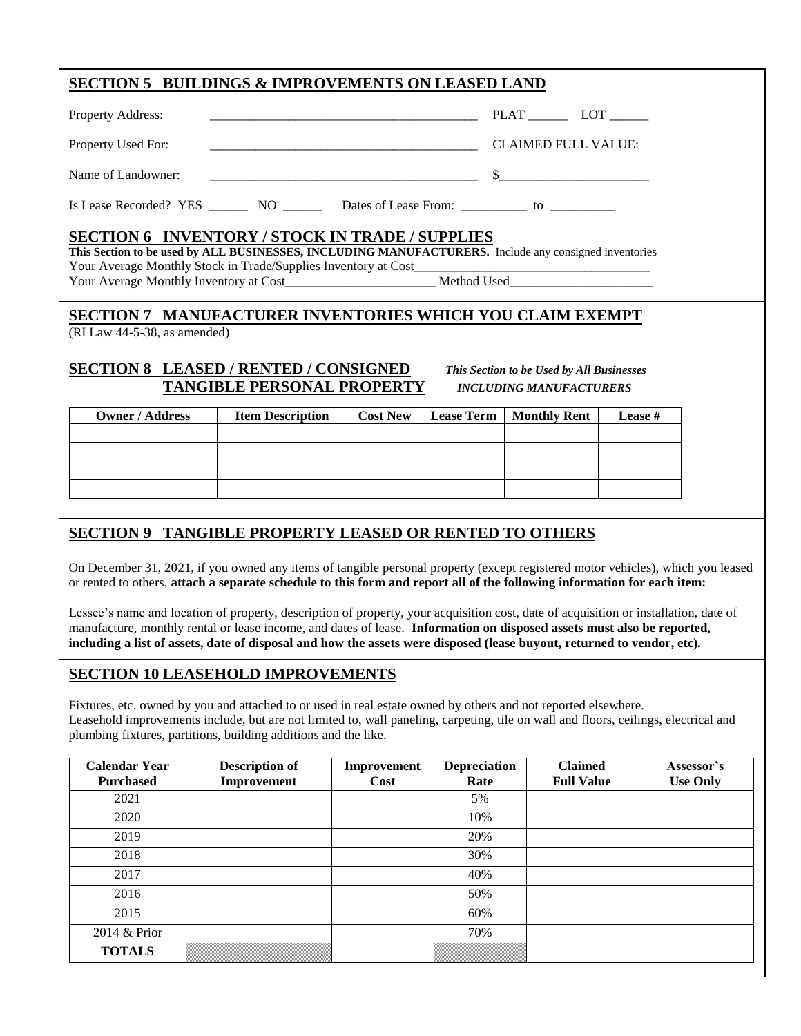| SECTION 5 BUILDINGS & IMPROVEMENTS ON LEASED LAND                                                                                                                                                                                                                                                                                                                                        |                                                                                                                                                                 |                 |                   |                     |         |  |
|------------------------------------------------------------------------------------------------------------------------------------------------------------------------------------------------------------------------------------------------------------------------------------------------------------------------------------------------------------------------------------------|-----------------------------------------------------------------------------------------------------------------------------------------------------------------|-----------------|-------------------|---------------------|---------|--|
| Property Address:                                                                                                                                                                                                                                                                                                                                                                        |                                                                                                                                                                 |                 |                   |                     |         |  |
| Property Used For:                                                                                                                                                                                                                                                                                                                                                                       |                                                                                                                                                                 |                 |                   | CLAIMED FULL VALUE: |         |  |
| Name of Landowner:                                                                                                                                                                                                                                                                                                                                                                       |                                                                                                                                                                 |                 |                   |                     |         |  |
| Is Lease Recorded? YES __________ NO ___________ Dates of Lease From: ______________ to ____________                                                                                                                                                                                                                                                                                     |                                                                                                                                                                 |                 |                   |                     |         |  |
|                                                                                                                                                                                                                                                                                                                                                                                          | <b>SECTION 6 INVENTORY / STOCK IN TRADE / SUPPLIES</b><br>This Section to be used by ALL BUSINESSES, INCLUDING MANUFACTURERS. Include any consigned inventories |                 |                   |                     |         |  |
| SECTION 7 MANUFACTURER INVENTORIES WHICH YOU CLAIM EXEMPT<br>(RI Law 44-5-38, as amended)                                                                                                                                                                                                                                                                                                |                                                                                                                                                                 |                 |                   |                     |         |  |
| <b>SECTION 8 LEASED / RENTED / CONSIGNED</b><br>This Section to be Used by All Businesses<br><b>TANGIBLE PERSONAL PROPERTY</b><br><b>INCLUDING MANUFACTURERS</b>                                                                                                                                                                                                                         |                                                                                                                                                                 |                 |                   |                     |         |  |
| <b>Owner / Address</b>                                                                                                                                                                                                                                                                                                                                                                   | <b>Item Description</b>                                                                                                                                         | <b>Cost New</b> | <b>Lease Term</b> | <b>Monthly Rent</b> | Lease # |  |
|                                                                                                                                                                                                                                                                                                                                                                                          |                                                                                                                                                                 |                 |                   |                     |         |  |
|                                                                                                                                                                                                                                                                                                                                                                                          |                                                                                                                                                                 |                 |                   |                     |         |  |
|                                                                                                                                                                                                                                                                                                                                                                                          |                                                                                                                                                                 |                 |                   |                     |         |  |
| SECTION 9 TANGIBLE PROPERTY LEASED OR RENTED TO OTHERS<br>On December 31, 2021, if you owned any items of tangible personal property (except registered motor vehicles), which you leased                                                                                                                                                                                                |                                                                                                                                                                 |                 |                   |                     |         |  |
| or rented to others, attach a separate schedule to this form and report all of the following information for each item:                                                                                                                                                                                                                                                                  |                                                                                                                                                                 |                 |                   |                     |         |  |
| Lessee's name and location of property, description of property, your acquisition cost, date of acquisition or installation, date of<br>manufacture, monthly rental or lease income, and dates of lease. Information on disposed assets must also be reported,<br>including a list of assets, date of disposal and how the assets were disposed (lease buyout, returned to vendor, etc). |                                                                                                                                                                 |                 |                   |                     |         |  |
| <b>SECTION 10 LEASEHOLD IMPROVEMENTS</b>                                                                                                                                                                                                                                                                                                                                                 |                                                                                                                                                                 |                 |                   |                     |         |  |

Fixtures, etc. owned by you and attached to or used in real estate owned by others and not reported elsewhere. Leasehold improvements include, but are not limited to, wall paneling, carpeting, tile on wall and floors, ceilings, electrical and plumbing fixtures, partitions, building additions and the like.

| <b>Calendar Year</b><br><b>Purchased</b> | <b>Description of</b><br>Improvement | Improvement<br>Cost | <b>Depreciation</b><br>Rate | <b>Claimed</b><br><b>Full Value</b> | Assessor's<br><b>Use Only</b> |
|------------------------------------------|--------------------------------------|---------------------|-----------------------------|-------------------------------------|-------------------------------|
| 2021                                     |                                      |                     | 5%                          |                                     |                               |
| 2020                                     |                                      |                     | 10%                         |                                     |                               |
| 2019                                     |                                      |                     | 20%                         |                                     |                               |
| 2018                                     |                                      |                     | 30%                         |                                     |                               |
| 2017                                     |                                      |                     | 40%                         |                                     |                               |
| 2016                                     |                                      |                     | 50%                         |                                     |                               |
| 2015                                     |                                      |                     | 60%                         |                                     |                               |
| 2014 & Prior                             |                                      |                     | 70%                         |                                     |                               |
| <b>TOTALS</b>                            |                                      |                     |                             |                                     |                               |